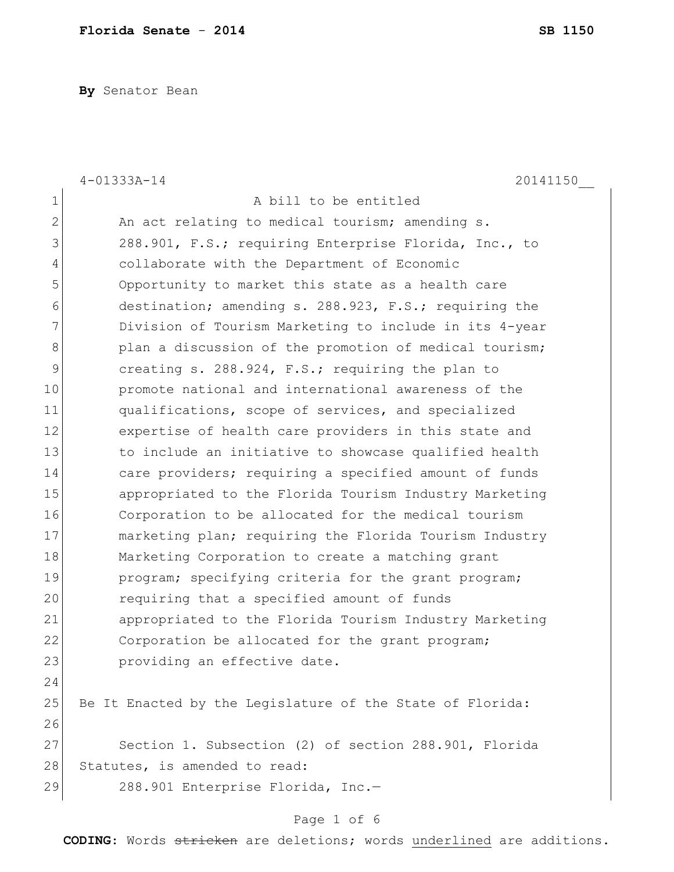**By** Senator Bean

|               | $4 - 01333A - 14$<br>20141150                             |
|---------------|-----------------------------------------------------------|
| 1             | A bill to be entitled                                     |
| $\mathbf 2$   | An act relating to medical tourism; amending s.           |
| 3             | 288.901, F.S.; requiring Enterprise Florida, Inc., to     |
| 4             | collaborate with the Department of Economic               |
| 5             | Opportunity to market this state as a health care         |
| 6             | destination; amending s. 288.923, F.S.; requiring the     |
| 7             | Division of Tourism Marketing to include in its 4-year    |
| $8\,$         | plan a discussion of the promotion of medical tourism;    |
| $\mathcal{G}$ | creating s. 288.924, F.S.; requiring the plan to          |
| 10            | promote national and international awareness of the       |
| 11            | qualifications, scope of services, and specialized        |
| 12            | expertise of health care providers in this state and      |
| 13            | to include an initiative to showcase qualified health     |
| 14            | care providers; requiring a specified amount of funds     |
| 15            | appropriated to the Florida Tourism Industry Marketing    |
| 16            | Corporation to be allocated for the medical tourism       |
| 17            | marketing plan; requiring the Florida Tourism Industry    |
| 18            | Marketing Corporation to create a matching grant          |
| 19            | program; specifying criteria for the grant program;       |
| 20            | requiring that a specified amount of funds                |
| 21            | appropriated to the Florida Tourism Industry Marketing    |
| 22            | Corporation be allocated for the grant program;           |
| 23            | providing an effective date.                              |
| 24            |                                                           |
| 25            | Be It Enacted by the Legislature of the State of Florida: |
| 26            |                                                           |
| 27            | Section 1. Subsection (2) of section 288.901, Florida     |
| 28            | Statutes, is amended to read:                             |
| 29            | 288.901 Enterprise Florida, Inc.-                         |
|               | Page 1 of 6                                               |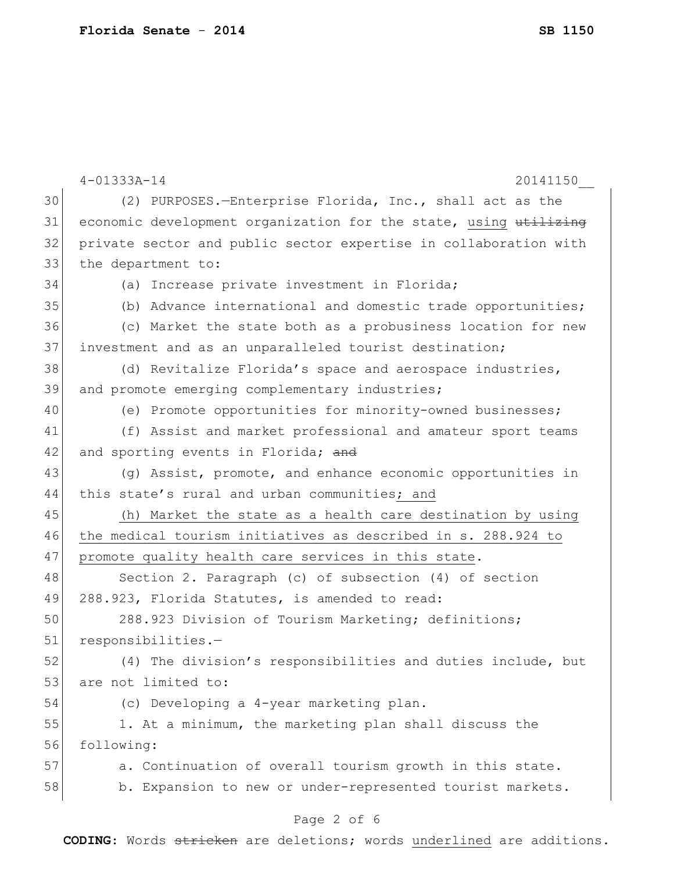|    | $4 - 01333A - 14$<br>20141150                                    |
|----|------------------------------------------------------------------|
| 30 | (2) PURPOSES.-Enterprise Florida, Inc., shall act as the         |
| 31 | economic development organization for the state, using utilizing |
| 32 | private sector and public sector expertise in collaboration with |
| 33 | the department to:                                               |
| 34 | (a) Increase private investment in Florida;                      |
| 35 | (b) Advance international and domestic trade opportunities;      |
| 36 | (c) Market the state both as a probusiness location for new      |
| 37 | investment and as an unparalleled tourist destination;           |
| 38 | (d) Revitalize Florida's space and aerospace industries,         |
| 39 | and promote emerging complementary industries;                   |
| 40 | (e) Promote opportunities for minority-owned businesses;         |
| 41 | (f) Assist and market professional and amateur sport teams       |
| 42 | and sporting events in Florida; and                              |
| 43 | (g) Assist, promote, and enhance economic opportunities in       |
| 44 | this state's rural and urban communities; and                    |
| 45 | (h) Market the state as a health care destination by using       |
| 46 | the medical tourism initiatives as described in s. 288.924 to    |
| 47 | promote quality health care services in this state.              |
| 48 | Section 2. Paragraph (c) of subsection (4) of section            |
| 49 | 288.923, Florida Statutes, is amended to read:                   |
| 50 | 288.923 Division of Tourism Marketing; definitions;              |
| 51 | responsibilities.-                                               |
| 52 | (4) The division's responsibilities and duties include, but      |
| 53 | are not limited to:                                              |
| 54 | (c) Developing a 4-year marketing plan.                          |
| 55 | 1. At a minimum, the marketing plan shall discuss the            |
| 56 | following:                                                       |
| 57 | a. Continuation of overall tourism growth in this state.         |
| 58 | b. Expansion to new or under-represented tourist markets.        |
|    | Page 2 of 6                                                      |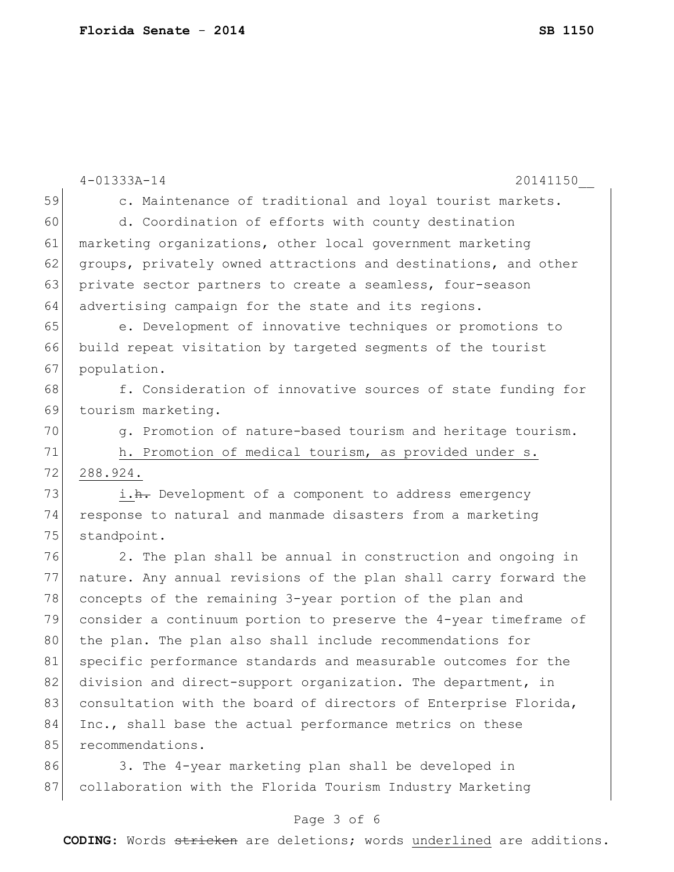|    | $4 - 01333A - 14$<br>20141150                                    |
|----|------------------------------------------------------------------|
| 59 | c. Maintenance of traditional and loyal tourist markets.         |
| 60 | d. Coordination of efforts with county destination               |
| 61 | marketing organizations, other local government marketing        |
| 62 | groups, privately owned attractions and destinations, and other  |
| 63 | private sector partners to create a seamless, four-season        |
| 64 | advertising campaign for the state and its regions.              |
| 65 | e. Development of innovative techniques or promotions to         |
| 66 | build repeat visitation by targeted segments of the tourist      |
| 67 | population.                                                      |
| 68 | f. Consideration of innovative sources of state funding for      |
| 69 | tourism marketing.                                               |
| 70 | g. Promotion of nature-based tourism and heritage tourism.       |
| 71 | h. Promotion of medical tourism, as provided under s.            |
| 72 | 288.924.                                                         |
| 73 | i.h. Development of a component to address emergency             |
| 74 | response to natural and manmade disasters from a marketing       |
| 75 | standpoint.                                                      |
| 76 | 2. The plan shall be annual in construction and ongoing in       |
| 77 | nature. Any annual revisions of the plan shall carry forward the |
| 78 | concepts of the remaining 3-year portion of the plan and         |
| 79 | consider a continuum portion to preserve the 4-year timeframe of |
| 80 | the plan. The plan also shall include recommendations for        |
| 81 | specific performance standards and measurable outcomes for the   |
| 82 | division and direct-support organization. The department, in     |
| 83 | consultation with the board of directors of Enterprise Florida,  |
| 84 | Inc., shall base the actual performance metrics on these         |
| 85 | recommendations.                                                 |
| 86 | 3. The 4-year marketing plan shall be developed in               |
| 87 | collaboration with the Florida Tourism Industry Marketing        |

## Page 3 of 6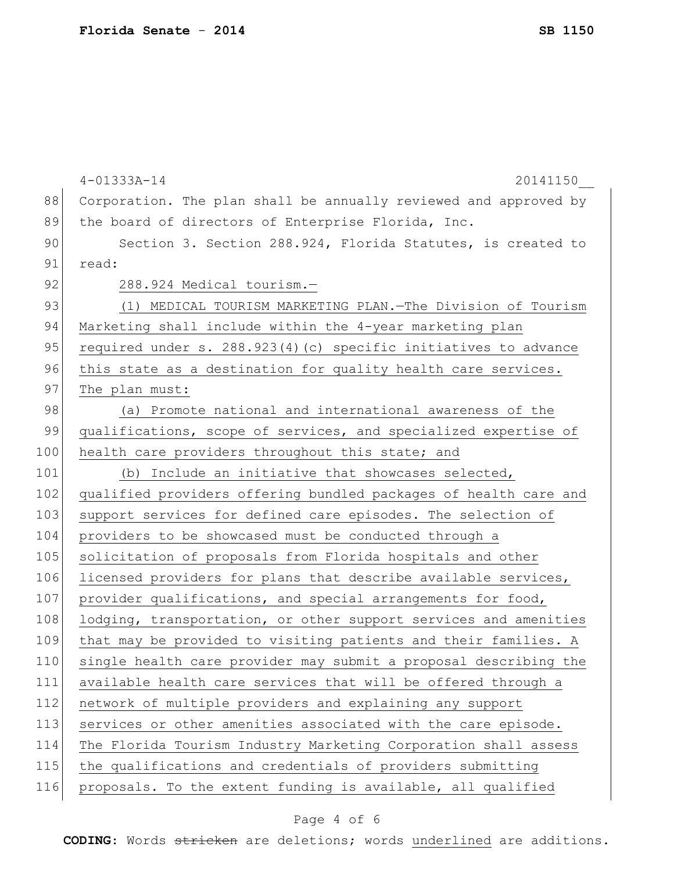|     | $4 - 01333A - 14$<br>20141150                                    |
|-----|------------------------------------------------------------------|
| 88  | Corporation. The plan shall be annually reviewed and approved by |
| 89  | the board of directors of Enterprise Florida, Inc.               |
| 90  | Section 3. Section 288.924, Florida Statutes, is created to      |
| 91  | read:                                                            |
| 92  | 288.924 Medical tourism.-                                        |
| 93  | (1) MEDICAL TOURISM MARKETING PLAN. - The Division of Tourism    |
| 94  | Marketing shall include within the 4-year marketing plan         |
| 95  | required under s. 288.923(4)(c) specific initiatives to advance  |
| 96  | this state as a destination for quality health care services.    |
| 97  | The plan must:                                                   |
| 98  | (a) Promote national and international awareness of the          |
| 99  | qualifications, scope of services, and specialized expertise of  |
| 100 | health care providers throughout this state; and                 |
| 101 | (b) Include an initiative that showcases selected,               |
| 102 | qualified providers offering bundled packages of health care and |
| 103 | support services for defined care episodes. The selection of     |
| 104 | providers to be showcased must be conducted through a            |
| 105 | solicitation of proposals from Florida hospitals and other       |
| 106 | licensed providers for plans that describe available services,   |
| 107 | provider qualifications, and special arrangements for food,      |
| 108 | lodging, transportation, or other support services and amenities |
| 109 | that may be provided to visiting patients and their families. A  |
| 110 | single health care provider may submit a proposal describing the |
| 111 | available health care services that will be offered through a    |
| 112 | network of multiple providers and explaining any support         |
| 113 | services or other amenities associated with the care episode.    |
| 114 | The Florida Tourism Industry Marketing Corporation shall assess  |
| 115 | the qualifications and credentials of providers submitting       |
| 116 | proposals. To the extent funding is available, all qualified     |
|     |                                                                  |

## Page 4 of 6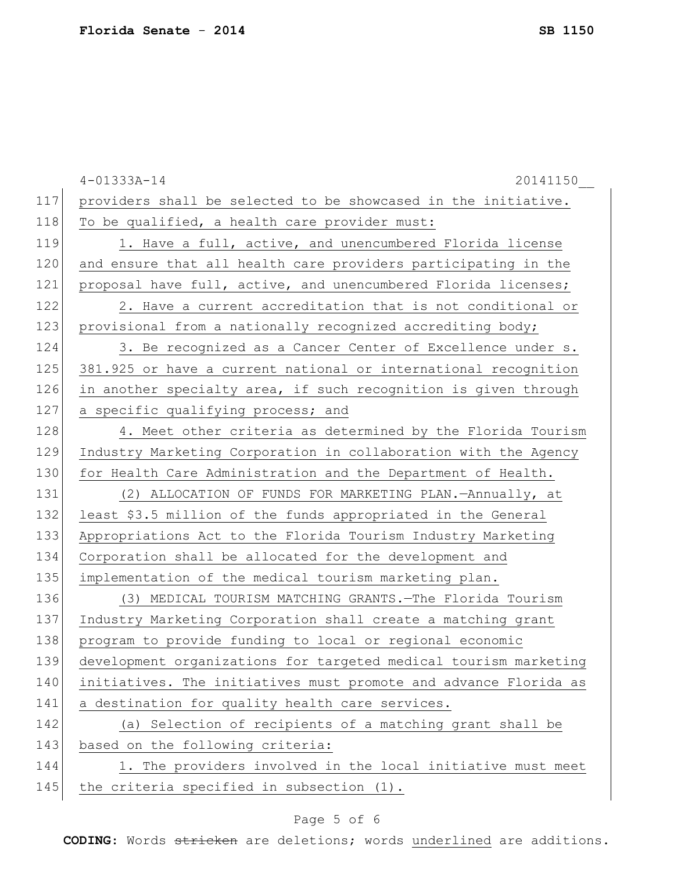|     | $4 - 01333A - 14$<br>20141150                                    |
|-----|------------------------------------------------------------------|
| 117 | providers shall be selected to be showcased in the initiative.   |
| 118 | To be qualified, a health care provider must:                    |
| 119 | 1. Have a full, active, and unencumbered Florida license         |
| 120 | and ensure that all health care providers participating in the   |
| 121 | proposal have full, active, and unencumbered Florida licenses;   |
| 122 | 2. Have a current accreditation that is not conditional or       |
| 123 | provisional from a nationally recognized accrediting body;       |
| 124 | 3. Be recognized as a Cancer Center of Excellence under s.       |
| 125 | 381.925 or have a current national or international recognition  |
| 126 | in another specialty area, if such recognition is given through  |
| 127 | a specific qualifying process; and                               |
| 128 | 4. Meet other criteria as determined by the Florida Tourism      |
| 129 | Industry Marketing Corporation in collaboration with the Agency  |
| 130 | for Health Care Administration and the Department of Health.     |
| 131 | (2) ALLOCATION OF FUNDS FOR MARKETING PLAN.-Annually, at         |
| 132 | least \$3.5 million of the funds appropriated in the General     |
| 133 | Appropriations Act to the Florida Tourism Industry Marketing     |
| 134 | Corporation shall be allocated for the development and           |
| 135 | implementation of the medical tourism marketing plan.            |
| 136 | (3) MEDICAL TOURISM MATCHING GRANTS. The Florida Tourism         |
| 137 | Industry Marketing Corporation shall create a matching grant     |
| 138 | program to provide funding to local or regional economic         |
| 139 | development organizations for targeted medical tourism marketing |
| 140 | initiatives. The initiatives must promote and advance Florida as |
| 141 | a destination for quality health care services.                  |
| 142 | (a) Selection of recipients of a matching grant shall be         |
| 143 | based on the following criteria:                                 |
| 144 | 1. The providers involved in the local initiative must meet      |
| 145 | the criteria specified in subsection (1).                        |
|     |                                                                  |

## Page 5 of 6